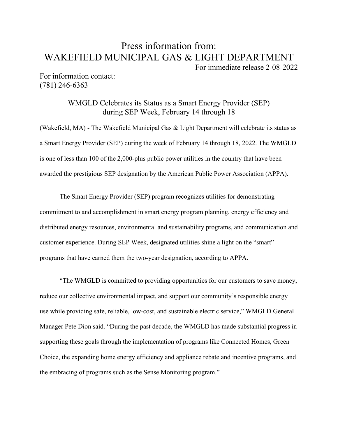## Press information from: WAKEFIELD MUNICIPAL GAS & LIGHT DEPARTMENT

For immediate release 2-08-2022

For information contact: (781) 246-6363

> WMGLD Celebrates its Status as a Smart Energy Provider (SEP) during SEP Week, February 14 through 18

(Wakefield, MA) - The Wakefield Municipal Gas & Light Department will celebrate its status as a Smart Energy Provider (SEP) during the week of February 14 through 18, 2022. The WMGLD is one of less than 100 of the 2,000-plus public power utilities in the country that have been awarded the prestigious SEP designation by the American Public Power Association (APPA).

The Smart Energy Provider (SEP) program recognizes utilities for demonstrating commitment to and accomplishment in smart energy program planning, energy efficiency and distributed energy resources, environmental and sustainability programs, and communication and customer experience. During SEP Week, designated utilities shine a light on the "smart" programs that have earned them the two-year designation, according to APPA.

"The WMGLD is committed to providing opportunities for our customers to save money, reduce our collective environmental impact, and support our community's responsible energy use while providing safe, reliable, low-cost, and sustainable electric service," WMGLD General Manager Pete Dion said. "During the past decade, the WMGLD has made substantial progress in supporting these goals through the implementation of programs like Connected Homes, Green Choice, the expanding home energy efficiency and appliance rebate and incentive programs, and the embracing of programs such as the Sense Monitoring program."